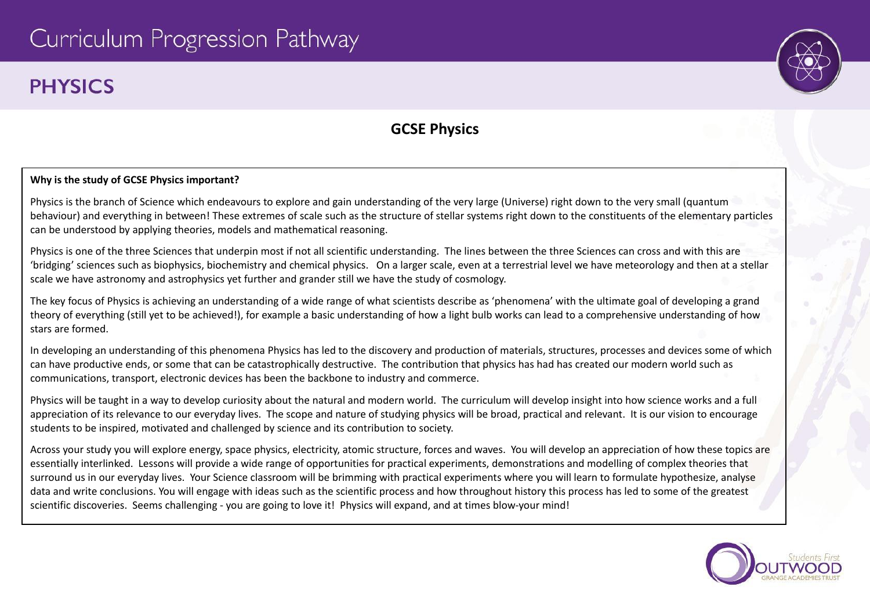# **PHYSICS**

## **GCSE Physics**

#### **Why is the study of GCSE Physics important?**

Physics is the branch of Science which endeavours to explore and gain understanding of the very large (Universe) right down to the very small (quantum behaviour) and everything in between! These extremes of scale such as the structure of stellar systems right down to the constituents of the elementary particles can be understood by applying theories, models and mathematical reasoning.

Physics is one of the three Sciences that underpin most if not all scientific understanding. The lines between the three Sciences can cross and with this are 'bridging' sciences such as biophysics, biochemistry and chemical physics. On a larger scale, even at a terrestrial level we have meteorology and then at a stellar scale we have astronomy and astrophysics yet further and grander still we have the study of cosmology.

The key focus of Physics is achieving an understanding of a wide range of what scientists describe as 'phenomena' with the ultimate goal of developing a grand theory of everything (still yet to be achieved!), for example a basic understanding of how a light bulb works can lead to a comprehensive understanding of how stars are formed.

In developing an understanding of this phenomena Physics has led to the discovery and production of materials, structures, processes and devices some of which can have productive ends, or some that can be catastrophically destructive. The contribution that physics has had has created our modern world such as communications, transport, electronic devices has been the backbone to industry and commerce.

Physics will be taught in a way to develop curiosity about the natural and modern world. The curriculum will develop insight into how science works and a full appreciation of its relevance to our everyday lives. The scope and nature of studying physics will be broad, practical and relevant. It is our vision to encourage students to be inspired, motivated and challenged by science and its contribution to society.

Across your study you will explore energy, space physics, electricity, atomic structure, forces and wayes. You will develop an appreciation of how these topics are essentially interlinked. Lessons will provide a wide range of opportunities for practical experiments, demonstrations and modelling of complex theories that surround us in our everyday lives. Your Science classroom will be brimming with practical experiments where you will learn to formulate hypothesize, analyse data and write conclusions. You will engage with ideas such as the scientific process and how throughout history this process has led to some of the greatest scientific discoveries. Seems challenging - you are going to love it! Physics will expand, and at times blow-your mind!

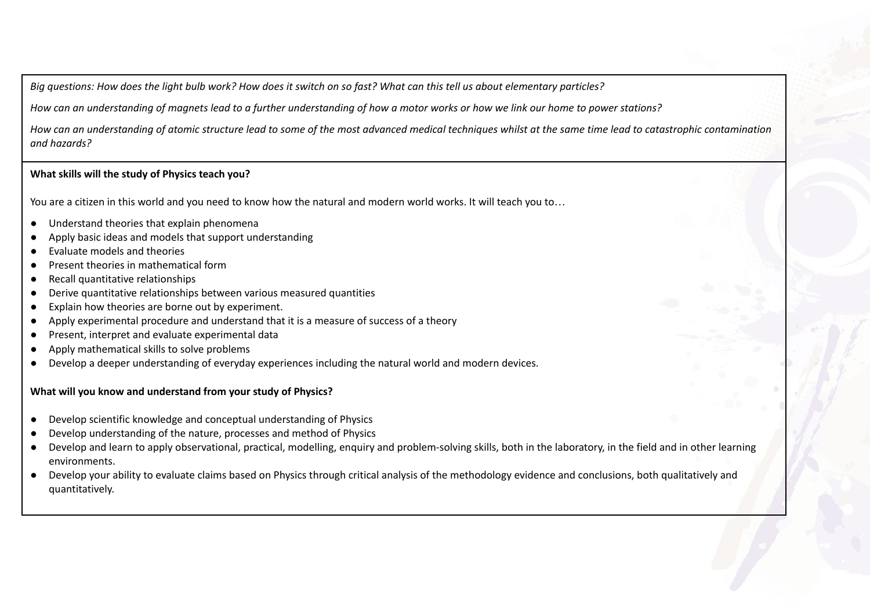Big questions: How does the light bulb work? How does it switch on so fast? What can this tell us about elementary particles?

How can an understanding of magnets lead to a further understanding of how a motor works or how we link our home to power stations?

How can an understanding of atomic structure lead to some of the most advanced medical techniques whilst at the same time lead to catastrophic contamination *and hazards?*

#### **What skills will the study of Physics teach you?**

You are a citizen in this world and you need to know how the natural and modern world works. It will teach you to…

- Understand theories that explain phenomena
- Apply basic ideas and models that support understanding
- Evaluate models and theories
- Present theories in mathematical form
- Recall quantitative relationships
- Derive quantitative relationships between various measured quantities
- Explain how theories are borne out by experiment.
- Apply experimental procedure and understand that it is a measure of success of a theory
- Present, interpret and evaluate experimental data
- Apply mathematical skills to solve problems
- Develop a deeper understanding of everyday experiences including the natural world and modern devices.

### **What will you know and understand from your study of Physics?**

- Develop scientific knowledge and conceptual understanding of Physics
- Develop understanding of the nature, processes and method of Physics
- Develop and learn to apply observational, practical, modelling, enquiry and problem-solving skills, both in the laboratory, in the field and in other learning environments.
- **●** Develop your ability to evaluate claims based on Physics through critical analysis of the methodology evidence and conclusions, both qualitatively and quantitatively.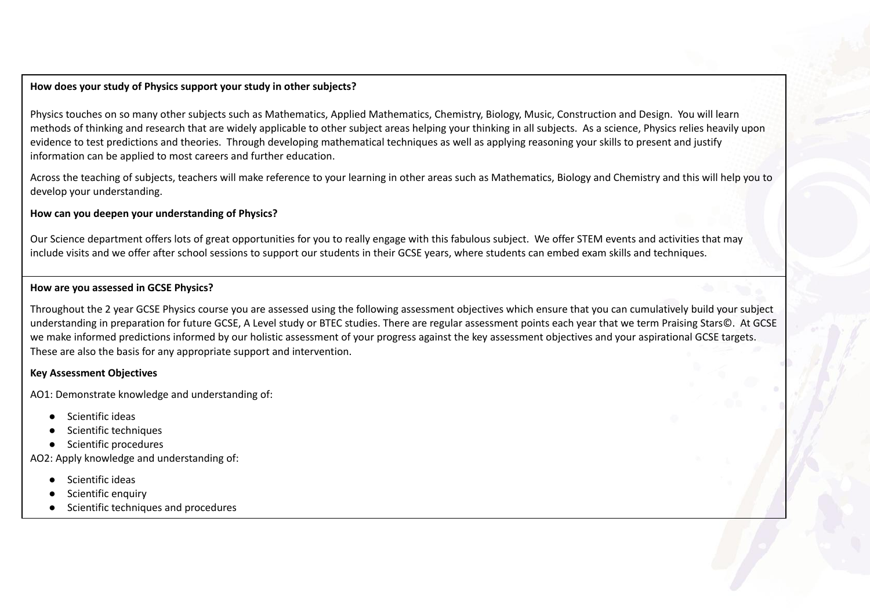#### **How does your study of Physics support your study in other subjects?**

Physics touches on so many other subjects such as Mathematics, Applied Mathematics, Chemistry, Biology, Music, Construction and Design. You will learn methods of thinking and research that are widely applicable to other subject areas helping your thinking in all subjects. As a science, Physics relies heavily upon evidence to test predictions and theories. Through developing mathematical techniques as well as applying reasoning your skills to present and justify information can be applied to most careers and further education.

Across the teaching of subjects, teachers will make reference to your learning in other areas such as Mathematics, Biology and Chemistry and this will help you to develop your understanding.

#### **How can you deepen your understanding of Physics?**

Our Science department offers lots of great opportunities for you to really engage with this fabulous subject. We offer STEM events and activities that may include visits and we offer after school sessions to support our students in their GCSE years, where students can embed exam skills and techniques.

#### **How are you assessed in GCSE Physics?**

Throughout the 2 year GCSE Physics course you are assessed using the following assessment objectives which ensure that you can cumulatively build your subject understanding in preparation for future GCSE, A Level study or BTEC studies. There are regular assessment points each year that we term Praising Stars©. At GCSE we make informed predictions informed by our holistic assessment of your progress against the key assessment objectives and your aspirational GCSE targets. These are also the basis for any appropriate support and intervention.

#### **Key Assessment Objectives**

AO1: Demonstrate knowledge and understanding of:

- Scientific ideas
- Scientific techniques
- Scientific procedures

AO2: Apply knowledge and understanding of:

- Scientific ideas
- Scientific enquiry
- Scientific techniques and procedures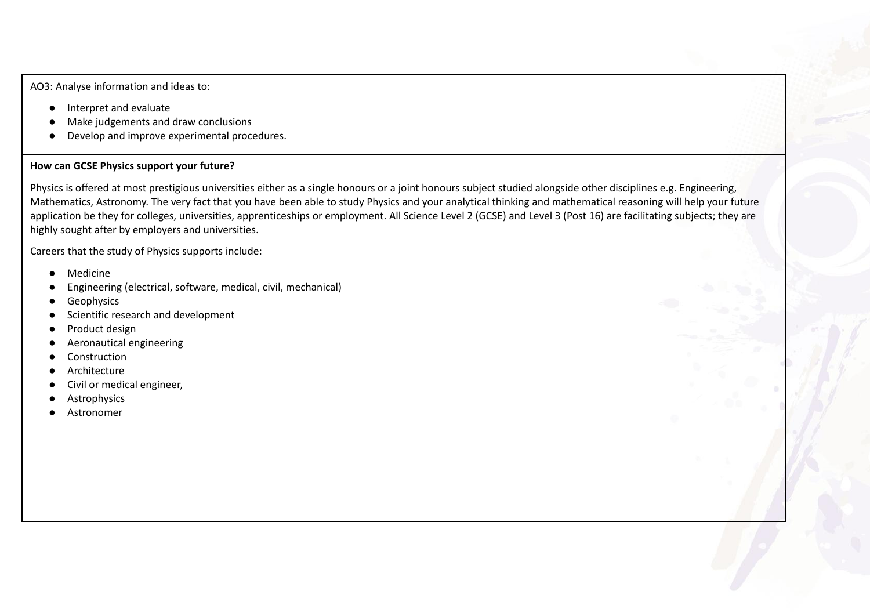AO3: Analyse information and ideas to:

- Interpret and evaluate
- Make judgements and draw conclusions
- Develop and improve experimental procedures.

#### **How can GCSE Physics support your future?**

Physics is offered at most prestigious universities either as a single honours or a joint honours subject studied alongside other disciplines e.g. Engineering, Mathematics, Astronomy. The very fact that you have been able to study Physics and your analytical thinking and mathematical reasoning will help your future application be they for colleges, universities, apprenticeships or employment. All Science Level 2 (GCSE) and Level 3 (Post 16) are facilitating subjects; they are highly sought after by employers and universities.

Careers that the study of Physics supports include:

- Medicine
- Engineering (electrical, software, medical, civil, mechanical)
- **Geophysics**
- Scientific research and development
- Product design
- Aeronautical engineering
- Construction
- **Architecture**
- Civil or medical engineer.
- Astrophysics
- Astronomer